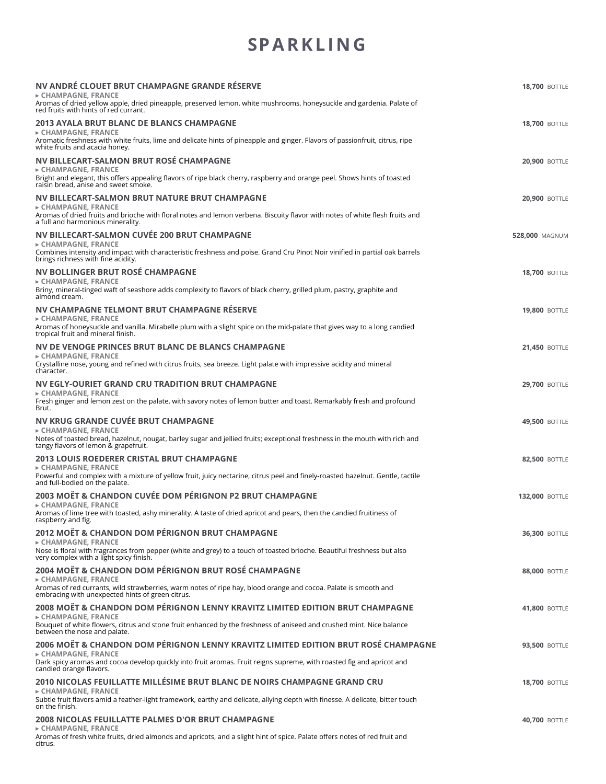### **SPARKL IN G**

| NV ANDRÉ CLOUET BRUT CHAMPAGNE GRANDE RÉSERVE<br>► CHAMPAGNE, FRANCE<br>Aromas of dried yellow apple, dried pineapple, preserved lemon, white mushrooms, honeysuckle and gardenia. Palate of<br>red fruits with hints of red currant.      | <b>18,700 BOTTLE</b>  |
|--------------------------------------------------------------------------------------------------------------------------------------------------------------------------------------------------------------------------------------------|-----------------------|
| <b>2013 AYALA BRUT BLANC DE BLANCS CHAMPAGNE</b>                                                                                                                                                                                           | <b>18,700 BOTTLE</b>  |
| ► CHAMPAGNE, FRANCE<br>Aromatic freshness with white fruits, lime and delicate hints of pineapple and ginger. Flavors of passionfruit, citrus, ripe<br>white fruits and acacia honey.                                                      |                       |
| NV BILLECART-SALMON BRUT ROSÉ CHAMPAGNE<br>► CHAMPAGNE, FRANCE                                                                                                                                                                             | <b>20,900 BOTTLE</b>  |
| Bright and elegant, this offers appealing flavors of ripe black cherry, raspberry and orange peel. Shows hints of toasted<br>raisin bread, anise and sweet smoke.                                                                          |                       |
| NV BILLECART-SALMON BRUT NATURE BRUT CHAMPAGNE<br>► CHAMPAGNE, FRANCE<br>Aromas of dried fruits and brioche with floral notes and lemon verbena. Biscuity flavor with notes of white flesh fruits and<br>a full and harmonious minerality. | <b>20,900 BOTTLE</b>  |
| NV BILLECART-SALMON CUVÉE 200 BRUT CHAMPAGNE                                                                                                                                                                                               | <b>528,000 MAGNUM</b> |
| ► CHAMPAGNE, FRANCE<br>Combines intensity and impact with characteristic freshness and poise. Grand Cru Pinot Noir vinified in partial oak barrels<br>brings richness with fine acidity.                                                   |                       |
| NV BOLLINGER BRUT ROSÉ CHAMPAGNE<br>► CHAMPAGNE, FRANCE                                                                                                                                                                                    | <b>18,700 BOTTLE</b>  |
| Briny, mineral-tinged waft of seashore adds complexity to flavors of black cherry, grilled plum, pastry, graphite and<br>almond cream.                                                                                                     |                       |
| NV CHAMPAGNE TELMONT BRUT CHAMPAGNE RÉSERVE<br>► CHAMPAGNE, FRANCE                                                                                                                                                                         | <b>19,800 BOTTLE</b>  |
| Aromas of honeysuckle and vanilla. Mirabelle plum with a slight spice on the mid-palate that gives way to a long candied<br>tropical fruit and mineral finish.                                                                             |                       |
| NV DE VENOGE PRINCES BRUT BLANC DE BLANCS CHAMPAGNE<br>► CHAMPAGNE, FRANCE                                                                                                                                                                 | <b>21,450 BOTTLE</b>  |
| Crystalline nose, young and refined with citrus fruits, sea breeze. Light palate with impressive acidity and mineral<br>character.                                                                                                         |                       |
| NV EGLY-OURIET GRAND CRU TRADITION BRUT CHAMPAGNE<br>► CHAMPAGNE, FRANCE                                                                                                                                                                   | <b>29,700 BOTTLE</b>  |
| Fresh ginger and lemon zest on the palate, with savory notes of lemon butter and toast. Remarkably fresh and profound<br>Brut.                                                                                                             |                       |
| NV KRUG GRANDE CUVÉE BRUT CHAMPAGNE<br>► CHAMPAGNE, FRANCE                                                                                                                                                                                 | <b>49,500 BOTTLE</b>  |
| Notes of toasted bread, hazelnut, nougat, barley sugar and jellied fruits; exceptional freshness in the mouth with rich and<br>tangy flavors of lemon & grapefruit.                                                                        |                       |
| <b>2013 LOUIS ROEDERER CRISTAL BRUT CHAMPAGNE</b><br>► CHAMPAGNE, FRANCE                                                                                                                                                                   | <b>82,500 BOTTLE</b>  |
| Powerful and complex with a mixture of yellow fruit, juicy nectarine, citrus peel and finely-roasted hazelnut. Gentle, tactile<br>and full-bodied on the palate.                                                                           |                       |
| 2003 MOËT & CHANDON CUVÉE DOM PÉRIGNON P2 BRUT CHAMPAGNE<br>► CHAMPAGNE, FRANCE                                                                                                                                                            | <b>132,000 BOTTLE</b> |
| Aromas of lime tree with toasted, ashy minerality. A taste of dried apricot and pears, then the candied fruitiness of<br>raspberry and fig.                                                                                                |                       |
| <b>2012 MOËT &amp; CHANDON DOM PÉRIGNON BRUT CHAMPAGNE</b><br>► CHAMPAGNE, FRANCE                                                                                                                                                          | <b>36,300 BOTTLE</b>  |
| Nose is floral with fragrances from pepper (white and grey) to a touch of toasted brioche. Beautiful freshness but also<br>very complex with a light spicy finish.                                                                         |                       |
| 2004 MOËT & CHANDON DOM PÉRIGNON BRUT ROSÉ CHAMPAGNE<br>► CHAMPAGNE, FRANCE                                                                                                                                                                | <b>88,000 BOTTLE</b>  |
| Aromas of red currants, wild strawberries, warm notes of ripe hay, blood orange and cocoa. Palate is smooth and<br>embracing with unexpected hints of green citrus.                                                                        |                       |
| 2008 MOËT & CHANDON DOM PÉRIGNON LENNY KRAVITZ LIMITED EDITION BRUT CHAMPAGNE<br>► CHAMPAGNE, FRANCE                                                                                                                                       | <b>41,800 BOTTLE</b>  |
| Bouquet of white flowers, citrus and stone fruit enhanced by the freshness of aniseed and crushed mint. Nice balance<br>between the nose and palate.                                                                                       |                       |
| 2006 MOËT & CHANDON DOM PÉRIGNON LENNY KRAVITZ LIMITED EDITION BRUT ROSÉ CHAMPAGNE<br>► CHAMPAGNE, FRANCE                                                                                                                                  | <b>93,500 BOTTLE</b>  |
| Dark spicy aromas and cocoa develop quickly into fruit aromas. Fruit reigns supreme, with roasted fig and apricot and<br>candied orange flavors.                                                                                           |                       |
| 2010 NICOLAS FEUILLATTE MILLÉSIME BRUT BLANC DE NOIRS CHAMPAGNE GRAND CRU<br>$\triangleright$ CHAMPAGNE, FRANCE                                                                                                                            | <b>18,700 BOTTLE</b>  |
| Subtle fruit flavors amid a feather-light framework, earthy and delicate, allying depth with finesse. A delicate, bitter touch<br>on the finish.                                                                                           |                       |
| <b>2008 NICOLAS FEUILLATTE PALMES D'OR BRUT CHAMPAGNE</b><br>► CHAMPAGNE, FRANCE                                                                                                                                                           | <b>40,700 BOTTLE</b>  |
| Aromas of fresh white fruits, dried almonds and apricots, and a slight hint of spice. Palate offers notes of red fruit and<br>citrus.                                                                                                      |                       |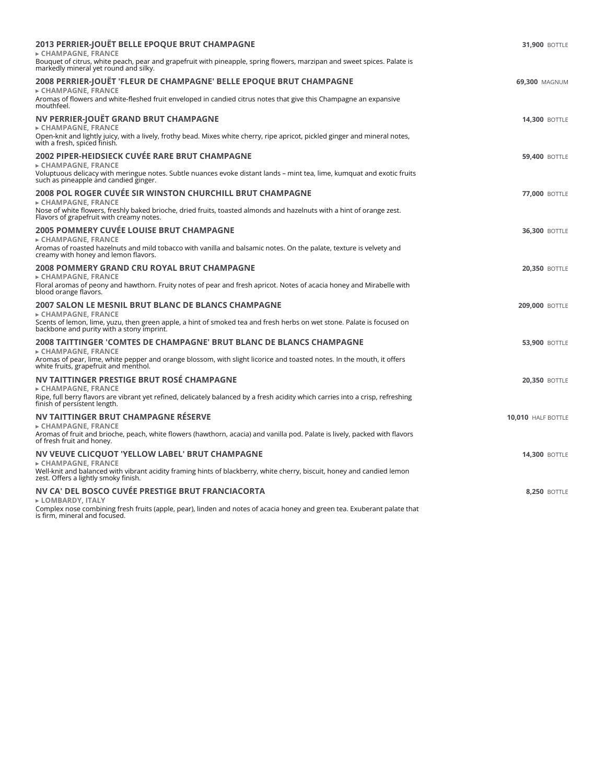| 2013 PERRIER-JOUËT BELLE EPOQUE BRUT CHAMPAGNE<br>► CHAMPAGNE, FRANCE<br>Bouquet of citrus, white peach, pear and grapefruit with pineapple, spring flowers, marzipan and sweet spices. Palate is<br>markedly mineral yet round and silky.                                  | <b>31,900 BOTTLE</b>  |
|-----------------------------------------------------------------------------------------------------------------------------------------------------------------------------------------------------------------------------------------------------------------------------|-----------------------|
| 2008 PERRIER-JOUËT 'FLEUR DE CHAMPAGNE' BELLE EPOQUE BRUT CHAMPAGNE<br>► CHAMPAGNE, FRANCE<br>Aromas of flowers and white-fleshed fruit enveloped in candied citrus notes that give this Champagne an expansive<br>mouthfeel.                                               | 69,300 MAGNUM         |
| NV PERRIER-JOUËT GRAND BRUT CHAMPAGNE<br>► CHAMPAGNE, FRANCE<br>Open-knit and lightly juicy, with a lively, frothy bead. Mixes white cherry, ripe apricot, pickled ginger and mineral notes,<br>with a fresh, spiced finish.                                                | <b>14,300 BOTTLE</b>  |
| 2002 PIPER-HEIDSIECK CUVÉE RARE BRUT CHAMPAGNE<br>► CHAMPAGNE, FRANCE<br>Voluptuous delicacy with meringue notes. Subtle nuances evoke distant lands - mint tea, lime, kumquat and exotic fruits<br>such as pineapple and candied ginger.                                   | <b>59,400 BOTTLE</b>  |
| <b>2008 POL ROGER CUVÉE SIR WINSTON CHURCHILL BRUT CHAMPAGNE</b><br>$\triangleright$ CHAMPAGNE. FRANCE<br>Nose of white flowers, freshly baked brioche, dried fruits, toasted almonds and hazelnuts with a hint of orange zest.<br>Flavors of grapefruit with creamy notes. | <b>77.000 BOTTLE</b>  |
| 2005 POMMERY CUVÉE LOUISE BRUT CHAMPAGNE<br>► CHAMPAGNE, FRANCE<br>Aromas of roasted hazelnuts and mild tobacco with vanilla and balsamic notes. On the palate, texture is velvety and<br>creamy with honey and lemon flavors.                                              | <b>36,300 BOTTLE</b>  |
| 2008 POMMERY GRAND CRU ROYAL BRUT CHAMPAGNE<br>$\triangleright$ CHAMPAGNE. FRANCE<br>Floral aromas of peony and hawthorn. Fruity notes of pear and fresh apricot. Notes of acacia honey and Mirabelle with<br>blood orange flavors.                                         | <b>20,350 BOTTLE</b>  |
| 2007 SALON LE MESNIL BRUT BLANC DE BLANCS CHAMPAGNE<br>► CHAMPAGNE, FRANCE<br>Scents of lemon, lime, yuzu, then green apple, a hint of smoked tea and fresh herbs on wet stone. Palate is focused on<br>backbone and purity with a stony imprint.                           | <b>209,000 BOTTLE</b> |
| 2008 TAITTINGER 'COMTES DE CHAMPAGNE' BRUT BLANC DE BLANCS CHAMPAGNE<br>► CHAMPAGNE, FRANCE<br>Aromas of pear, lime, white pepper and orange blossom, with slight licorice and toasted notes. In the mouth, it offers<br>white fruits, grapefruit and menthol.              | <b>53,900 BOTTLE</b>  |
| NV TAITTINGER PRESTIGE BRUT ROSÉ CHAMPAGNE<br>► CHAMPAGNE, FRANCE<br>Ripe, full berry flavors are vibrant yet refined, delicately balanced by a fresh acidity which carries into a crisp, refreshing<br>finish of persistent length.                                        | <b>20,350 BOTTLE</b>  |
| NV TAITTINGER BRUT CHAMPAGNE RESERVE<br>► CHAMPAGNE, FRANCE<br>Aromas of fruit and brioche, peach, white flowers (hawthorn, acacia) and vanilla pod. Palate is lively, packed with flavors<br>of fresh fruit and honey.                                                     | 10,010 HALF BOTTLE    |
| NV VEUVE CLICQUOT 'YELLOW LABEL' BRUT CHAMPAGNE<br>► CHAMPAGNE, FRANCE<br>Well-knit and balanced with vibrant acidity framing hints of blackberry, white cherry, biscuit, honey and candied lemon<br>zest. Offers a lightly smoky finish.                                   | <b>14,300 BOTTLE</b>  |
| NV CA' DEL BOSCO CUVÉE PRESTIGE BRUT FRANCIACORTA<br>► LOMBARDY, ITALY<br>Complex nose combining fresh fruits (apple, pear), linden and notes of acacia honey and green tea. Exuberant palate that<br>is firm, mineral and focused.                                         | <b>8.250 BOTTLE</b>   |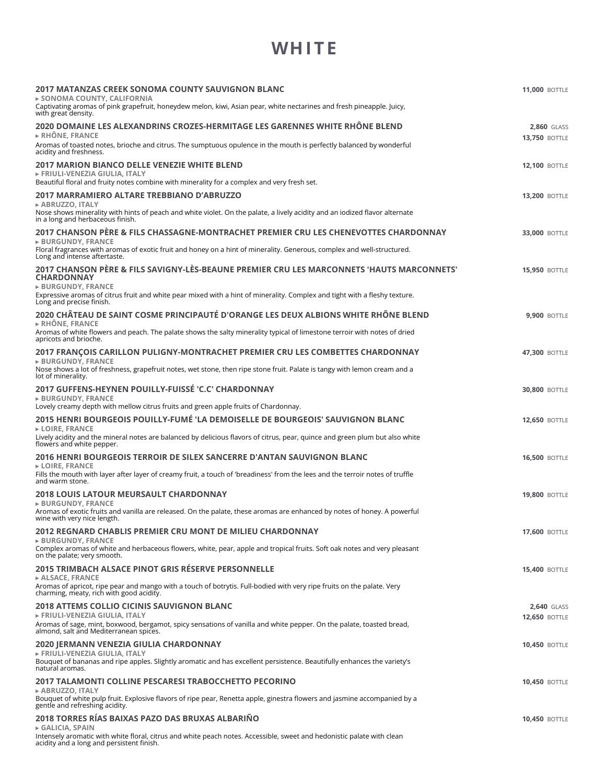#### **WH I T E**

| 2017 MATANZAS CREEK SONOMA COUNTY SAUVIGNON BLANC<br>► SONOMA COUNTY, CALIFORNIA                                                                                                                                                                                                                         | <b>11,000 BOTTLE</b>                       |
|----------------------------------------------------------------------------------------------------------------------------------------------------------------------------------------------------------------------------------------------------------------------------------------------------------|--------------------------------------------|
| Captivating aromas of pink grapefruit, honeydew melon, kiwi, Asian pear, white nectarines and fresh pineapple. Juicy,<br>with great density.                                                                                                                                                             |                                            |
| 2020 DOMAINE LES ALEXANDRINS CROZES-HERMITAGE LES GARENNES WHITE RHÔNE BLEND<br>$\triangleright$ RHÖNE, FRANCE                                                                                                                                                                                           | <b>2,860 GLASS</b><br><b>13,750 BOTTLE</b> |
| Aromas of toasted notes, brioche and citrus. The sumptuous opulence in the mouth is perfectly balanced by wonderful<br>acidity and freshness.                                                                                                                                                            |                                            |
| <b>2017 MARION BIANCO DELLE VENEZIE WHITE BLEND</b><br>► FRIULI-VENEZIA GIULIA, ITALY<br>Beautiful floral and fruity notes combine with minerality for a complex and very fresh set.                                                                                                                     | <b>12,100 BOTTLE</b>                       |
| 2017 MARRAMIERO ALTARE TREBBIANO D'ABRUZZO<br>► ABRUZZO, ITALY<br>Nose shows minerality with hints of peach and white violet. On the palate, a lively acidity and an iodized flavor alternate<br>in a long and herbaceous finish.                                                                        | <b>13.200 BOTTLE</b>                       |
| 2017 CHANSON PÈRE & FILS CHASSAGNE-MONTRACHET PREMIER CRU LES CHENEVOTTES CHARDONNAY<br>$\triangleright$ BURGUNDY, FRANCE<br>Floral fragrances with aromas of exotic fruit and honey on a hint of minerality. Generous, complex and well-structured.<br>Long and intense aftertaste.                     | <b>33,000 BOTTLE</b>                       |
| 2017 CHANSON PÈRE & FILS SAVIGNY-LÈS-BEAUNE PREMIER CRU LES MARCONNETS 'HAUTS MARCONNETS'<br><b>CHARDONNAY</b><br><b>&gt; BURGUNDY, FRANCE</b><br>Expressive aromas of citrus fruit and white pear mixed with a hint of minerality. Complex and tight with a fleshy texture.<br>Long and precise finish. | <b>15,950 BOTTLE</b>                       |
| 2020 CHÂTEAU DE SAINT COSME PRINCIPAUTÉ D'ORANGE LES DEUX ALBIONS WHITE RHÔNE BLEND<br>$\triangleright$ RHÔNE. FRANCE<br>Aromas of white flowers and peach. The palate shows the salty minerality typical of limestone terroir with notes of dried<br>apricots and brioche.                              | <b>9.900 BOTTLE</b>                        |
| 2017 FRANCOIS CARILLON PULIGNY-MONTRACHET PREMIER CRU LES COMBETTES CHARDONNAY<br><b>BURGUNDY, FRANCE</b><br>Nose shows a lot of freshness, grapefruit notes, wet stone, then ripe stone fruit. Palate is tangy with lemon cream and a<br>lot of minerality.                                             | <b>47.300 BOTTLE</b>                       |
| 2017 GUFFENS-HEYNEN POUILLY-FUISSÉ 'C.C' CHARDONNAY<br>$\triangleright$ BURGUNDY, FRANCE<br>Lovely creamy depth with mellow citrus fruits and green apple fruits of Chardonnay.                                                                                                                          | <b>30,800 BOTTLE</b>                       |
| 2015 HENRI BOURGEOIS POUILLY-FUMÉ 'LA DEMOISELLE DE BOURGEOIS' SAUVIGNON BLANC<br><b>LOIRE, FRANCE</b><br>Lively acidity and the mineral notes are balanced by delicious flavors of citrus, pear, quince and green plum but also white<br>flowers and white pepper.                                      | <b>12,650 BOTTLE</b>                       |
| 2016 HENRI BOURGEOIS TERROIR DE SILEX SANCERRE D'ANTAN SAUVIGNON BLANC<br>$\triangleright$ LOIRE, FRANCE<br>Fills the mouth with layer after layer of creamy fruit, a touch of 'breadiness' from the lees and the terroir notes of truffle<br>and warm stone.                                            | <b>16,500 BOTTLE</b>                       |
| 2018 LOUIS LATOUR MEURSAULT CHARDONNAY<br>$\triangleright$ BURGUNDY, FRANCE<br>Aromas of exotic fruits and vanilla are released. On the palate, these aromas are enhanced by notes of honey. A powerful<br>wine with very nice length.                                                                   | <b>19,800 BOTTLE</b>                       |
| 2012 REGNARD CHABLIS PREMIER CRU MONT DE MILIEU CHARDONNAY<br>$\triangleright$ BURGUNDY, FRANCE<br>Complex aromas of white and herbaceous flowers, white, pear, apple and tropical fruits. Soft oak notes and very pleasant<br>on the palate; very smooth.                                               | <b>17,600 BOTTLE</b>                       |
| 2015 TRIMBACH ALSACE PINOT GRIS RÉSERVE PERSONNELLE<br>► ALSACE, FRANCE<br>Aromas of apricot, ripe pear and mango with a touch of botrytis. Full-bodied with very ripe fruits on the palate. Very<br>charming, meaty, rich with good acidity.                                                            | <b>15,400 BOTTLE</b>                       |
| <b>2018 ATTEMS COLLIO CICINIS SAUVIGNON BLANC</b><br>► FRIULI-VENEZIA GIULIA, ITALY<br>Aromas of sage, mint, boxwood, bergamot, spicy sensations of vanilla and white pepper. On the palate, toasted bread,<br>almond, salt and Mediterranean spices.                                                    | 2,640 GLASS<br><b>12,650 BOTTLE</b>        |
| 2020 JERMANN VENEZIA GIULIA CHARDONNAY<br>► FRIULI-VENEZIA GIULIA, ITALY<br>Bouquet of bananas and ripe apples. Slightly aromatic and has excellent persistence. Beautifully enhances the variety's<br>natural aromas.                                                                                   | <b>10,450 BOTTLE</b>                       |
| 2017 TALAMONTI COLLINE PESCARESI TRABOCCHETTO PECORINO<br>► ABRUZZO, ITALY<br>Bouquet of white pulp fruit. Explosive flavors of ripe pear, Renetta apple, ginestra flowers and jasmine accompanied by a<br>gentle and refreshing acidity.                                                                | <b>10,450 BOTTLE</b>                       |
| 2018 TORRES RÍAS BAIXAS PAZO DAS BRUXAS ALBARIÑO<br>► GALICIA, SPAIN<br>Intensely aromatic with white floral, citrus and white peach notes. Accessible, sweet and hedonistic palate with clean<br>acidity and a long and persistent finish.                                                              | <b>10,450 BOTTLE</b>                       |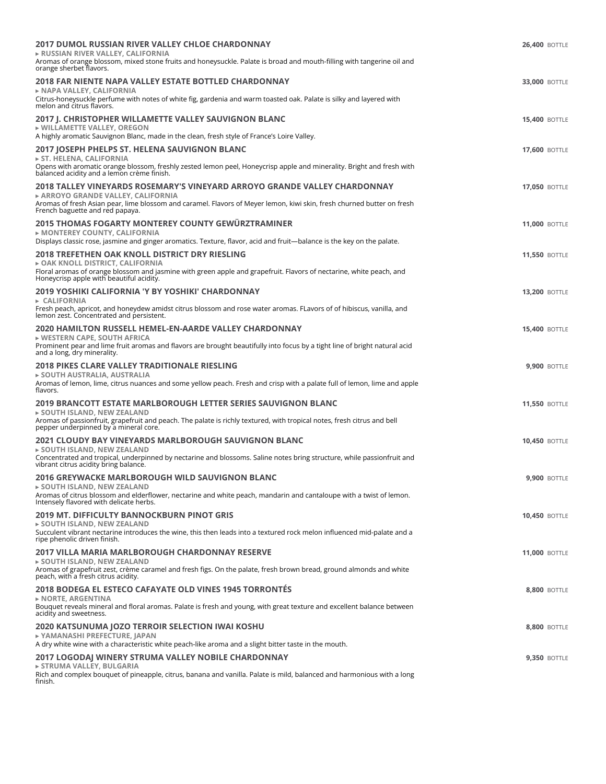| <b>2017 DUMOL RUSSIAN RIVER VALLEY CHLOE CHARDONNAY</b><br>► RUSSIAN RIVER VALLEY, CALIFORNIA<br>Aromas of orange blossom, mixed stone fruits and honeysuckle. Palate is broad and mouth-filling with tangerine oil and<br>orange sherbet flavors.                           | <b>26,400 BOTTLE</b> |
|------------------------------------------------------------------------------------------------------------------------------------------------------------------------------------------------------------------------------------------------------------------------------|----------------------|
| 2018 FAR NIENTE NAPA VALLEY ESTATE BOTTLED CHARDONNAY<br>► NAPA VALLEY, CALIFORNIA<br>Citrus-honeysuckle perfume with notes of white fig, gardenia and warm toasted oak. Palate is silky and layered with<br>melon and citrus flavors.                                       | <b>33,000 BOTTLE</b> |
| 2017 J. CHRISTOPHER WILLAMETTE VALLEY SAUVIGNON BLANC<br>▶ WILLAMETTE VALLEY, OREGON<br>A highly aromatic Sauvignon Blanc, made in the clean, fresh style of France's Loire Valley.                                                                                          | <b>15,400 BOTTLE</b> |
| 2017 JOSEPH PHELPS ST. HELENA SAUVIGNON BLANC<br>ST. HELENA, CALIFORNIA<br>Opens with aromatic orange blossom, freshly zested lemon peel, Honeycrisp apple and minerality. Bright and fresh with<br>balanced acidity and a lemon crème finish.                               | <b>17,600 BOTTLE</b> |
| 2018 TALLEY VINEYARDS ROSEMARY'S VINEYARD ARROYO GRANDE VALLEY CHARDONNAY<br>► ARROYO GRANDE VALLEY, CALIFORNIA<br>Aromas of fresh Asian pear, lime blossom and caramel. Flavors of Meyer lemon, kiwi skin, fresh churned butter on fresh<br>French baguette and red papaya. | <b>17,050 BOTTLE</b> |
| 2015 THOMAS FOGARTY MONTEREY COUNTY GEWÜRZTRAMINER<br>▶ MONTEREY COUNTY, CALIFORNIA<br>Displays classic rose, jasmine and ginger aromatics. Texture, flavor, acid and fruit-balance is the key on the palate.                                                                | <b>11,000 BOTTLE</b> |
| 2018 TREFETHEN OAK KNOLL DISTRICT DRY RIESLING<br>► OAK KNOLL DISTRICT, CALIFORNIA<br>Floral aromas of orange blossom and jasmine with green apple and grapefruit. Flavors of nectarine, white peach, and<br>Honeycrisp apple with beautiful acidity.                        | <b>11,550 BOTTLE</b> |
| 2019 YOSHIKI CALIFORNIA 'Y BY YOSHIKI' CHARDONNAY<br>► CALIFORNIA<br>Fresh peach, apricot, and honeydew amidst citrus blossom and rose water aromas. FLavors of of hibiscus, vanilla, and<br>lemon zest. Concentrated and persistent.                                        | <b>13,200 BOTTLE</b> |
| 2020 HAMILTON RUSSELL HEMEL-EN-AARDE VALLEY CHARDONNAY<br>► WESTERN CAPE, SOUTH AFRICA<br>Prominent pear and lime fruit aromas and flavors are brought beautifully into focus by a tight line of bright natural acid<br>and a long, dry minerality.                          | <b>15,400 BOTTLE</b> |
| 2018 PIKES CLARE VALLEY TRADITIONALE RIESLING<br>► SOUTH AUSTRALIA, AUSTRALIA<br>Aromas of lemon, lime, citrus nuances and some yellow peach. Fresh and crisp with a palate full of lemon, lime and apple<br>flavors.                                                        | <b>9,900 BOTTLE</b>  |
| 2019 BRANCOTT ESTATE MARLBOROUGH LETTER SERIES SAUVIGNON BLANC<br>► SOUTH ISLAND, NEW ZEALAND<br>Aromas of passionfruit, grapefruit and peach. The palate is richly textured, with tropical notes, fresh citrus and bell<br>pepper underpinned by a mineral core.            | <b>11,550 BOTTLE</b> |
| 2021 CLOUDY BAY VINEYARDS MARLBOROUGH SAUVIGNON BLANC<br>► SOUTH ISLAND, NEW ZEALAND<br>Concentrated and tropical, underpinned by nectarine and blossoms. Saline notes bring structure, while passionfruit and<br>vibrant citrus acidity bring balance.                      | <b>10,450 BOTTLE</b> |
| 2016 GREYWACKE MARLBOROUGH WILD SAUVIGNON BLANC<br>► SOUTH ISLAND. NEW ZEALAND<br>Aromas of citrus blossom and elderflower, nectarine and white peach, mandarin and cantaloupe with a twist of lemon.<br>Intensely flavored with delicate herbs.                             | <b>9,900 BOTTLE</b>  |
| <b>2019 MT. DIFFICULTY BANNOCKBURN PINOT GRIS</b><br>► SOUTH ISLAND. NEW ZEALAND<br>Succulent vibrant nectarine introduces the wine, this then leads into a textured rock melon influenced mid-palate and a<br>ripe phenolic driven finish.                                  | <b>10,450 BOTTLE</b> |
| <b>2017 VILLA MARIA MARLBOROUGH CHARDONNAY RESERVE</b><br>► SOUTH ISLAND, NEW ZEALAND<br>Aromas of grapefruit zest, crème caramel and fresh figs. On the palate, fresh brown bread, ground almonds and white<br>peach, with a fresh citrus acidity.                          | <b>11,000 BOTTLE</b> |
| 2018 BODEGA EL ESTECO CAFAYATE OLD VINES 1945 TORRONTÉS<br>$\triangleright$ NORTE, ARGENTINA<br>Bouquet reveals mineral and floral aromas. Palate is fresh and young, with great texture and excellent balance between<br>acidity and sweetness.                             | <b>8,800 BOTTLE</b>  |
| 2020 KATSUNUMA JOZO TERROIR SELECTION IWAI KOSHU<br>▶ YAMANASHI PREFECTURE, JAPAN<br>A dry white wine with a characteristic white peach-like aroma and a slight bitter taste in the mouth.                                                                                   | <b>8,800 BOTTLE</b>  |
| 2017 LOGODAJ WINERY STRUMA VALLEY NOBILE CHARDONNAY<br>► STRUMA VALLEY, BULGARIA<br>Rich and complex bouquet of pineapple, citrus, banana and vanilla. Palate is mild, balanced and harmonious with a long<br>finish.                                                        | <b>9,350 BOTTLE</b>  |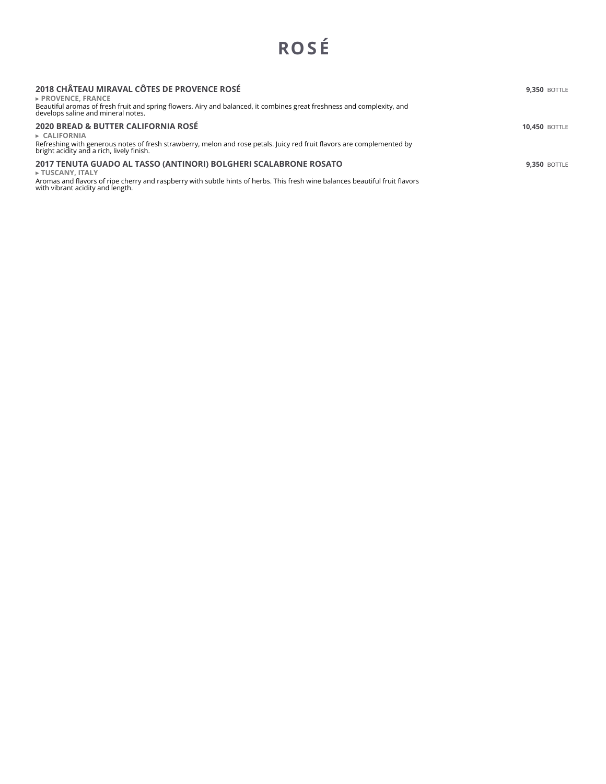# **ROS É**

| 2018 CHÂTEAU MIRAVAL CÔTES DE PROVENCE ROSÉ<br>$\triangleright$ PROVENCE. FRANCE<br>Beautiful aromas of fresh fruit and spring flowers. Airy and balanced, it combines great freshness and complexity, and<br>develops saline and mineral notes.         | <b>9.350 BOTTLE</b>  |
|----------------------------------------------------------------------------------------------------------------------------------------------------------------------------------------------------------------------------------------------------------|----------------------|
| 2020 BREAD & BUTTER CALIFORNIA ROSÉ<br>$\triangleright$ CALIFORNIA<br>Refreshing with generous notes of fresh strawberry, melon and rose petals. Juicy red fruit flavors are complemented by<br>bright acidity and a rich, lively finish.                | <b>10.450 BOTTLE</b> |
| 2017 TENUTA GUADO AL TASSO (ANTINORI) BOLGHERI SCALABRONE ROSATO<br>► TUSCANY, ITALY<br>Aromas and flavors of ripe cherry and raspberry with subtle hints of herbs. This fresh wine balances beautiful fruit flavors<br>with vibrant acidity and length. | <b>9.350 BOTTLE</b>  |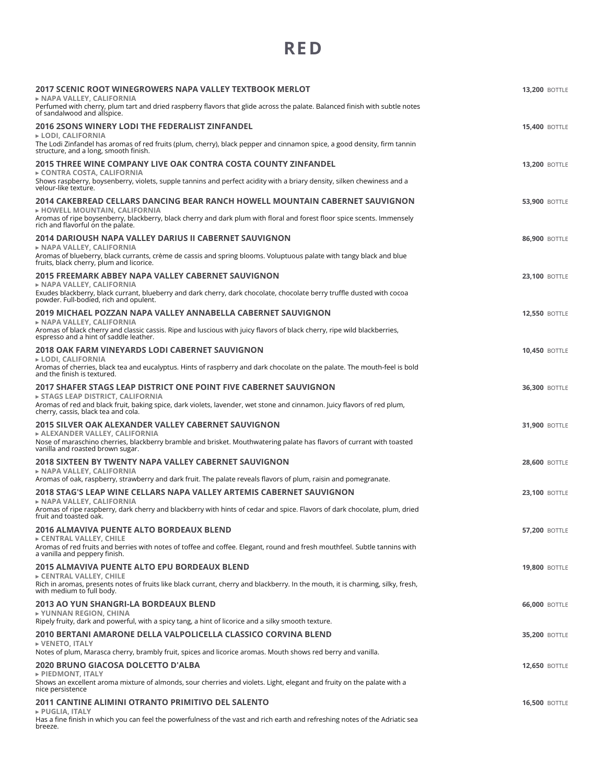# **RE D**

| 2017 SCENIC ROOT WINEGROWERS NAPA VALLEY TEXTBOOK MERLOT<br>► NAPA VALLEY, CALIFORNIA                                                                                                                    | <b>13,200 BOTTLE</b> |
|----------------------------------------------------------------------------------------------------------------------------------------------------------------------------------------------------------|----------------------|
| Perfumed with cherry, plum tart and dried raspberry flavors that glide across the palate. Balanced finish with subtle notes<br>of sandalwood and allspice.                                               |                      |
| <b>2016 2SONS WINERY LODI THE FEDERALIST ZINFANDEL</b><br>► LODI, CALIFORNIA<br>The Lodi Zinfandel has aromas of red fruits (plum, cherry), black pepper and cinnamon spice, a good density, firm tannin | <b>15,400 BOTTLE</b> |
| structure, and a long, smooth finish.                                                                                                                                                                    |                      |
| 2015 THREE WINE COMPANY LIVE OAK CONTRA COSTA COUNTY ZINFANDEL<br>► CONTRA COSTA, CALIFORNIA                                                                                                             | <b>13,200 BOTTLE</b> |
| Shows raspberry, boysenberry, violets, supple tannins and perfect acidity with a briary density, silken chewiness and a<br>velour-like texture.                                                          |                      |
| 2014 CAKEBREAD CELLARS DANCING BEAR RANCH HOWELL MOUNTAIN CABERNET SAUVIGNON<br>► HOWELL MOUNTAIN, CALIFORNIA                                                                                            | <b>53,900 BOTTLE</b> |
| Aromas of ripe boysenberry, blackberry, black cherry and dark plum with floral and forest floor spice scents. Immensely<br>rich and flavorful on the palate.                                             |                      |
| 2014 DARIOUSH NAPA VALLEY DARIUS II CABERNET SAUVIGNON                                                                                                                                                   | <b>86,900 BOTTLE</b> |
| ► NAPA VALLEY, CALIFORNIA<br>Aromas of blueberry, black currants, crème de cassis and spring blooms. Voluptuous palate with tangy black and blue<br>fruits, black cherry, plum and licorice.             |                      |
| 2015 FREEMARK ABBEY NAPA VALLEY CABERNET SAUVIGNON<br>► NAPA VALLEY, CALIFORNIA                                                                                                                          | <b>23,100 BOTTLE</b> |
| Exudes blackberry, black currant, blueberry and dark cherry, dark chocolate, chocolate berry truffle dusted with cocoa<br>powder. Full-bodied, rich and opulent.                                         |                      |
| 2019 MICHAEL POZZAN NAPA VALLEY ANNABELLA CABERNET SAUVIGNON                                                                                                                                             | <b>12,550 BOTTLE</b> |
| ► NAPA VALLEY, CALIFORNIA<br>Aromas of black cherry and classic cassis. Ripe and luscious with juicy flavors of black cherry, ripe wild blackberries,<br>espresso and a hint of saddle leather.          |                      |
| 2018 OAK FARM VINEYARDS LODI CABERNET SAUVIGNON<br>► LODI. CALIFORNIA                                                                                                                                    | <b>10,450 BOTTLE</b> |
| Aromas of cherries, black tea and eucalyptus. Hints of raspberry and dark chocolate on the palate. The mouth-feel is bold<br>and the finish is textured.                                                 |                      |
| 2017 SHAFER STAGS LEAP DISTRICT ONE POINT FIVE CABERNET SAUVIGNON<br>► STAGS LEAP DISTRICT, CALIFORNIA                                                                                                   | <b>36,300 BOTTLE</b> |
| Aromas of red and black fruit, baking spice, dark violets, lavender, wet stone and cinnamon. Juicy flavors of red plum,<br>cherry, cassis, black tea and cola.                                           |                      |
| 2015 SILVER OAK ALEXANDER VALLEY CABERNET SAUVIGNON                                                                                                                                                      | <b>31,900 BOTTLE</b> |
| ► ALEXANDER VALLEY, CALIFORNIA<br>Nose of maraschino cherries, blackberry bramble and brisket. Mouthwatering palate has flavors of currant with toasted<br>vanilla and roasted brown sugar.              |                      |
| 2018 SIXTEEN BY TWENTY NAPA VALLEY CABERNET SAUVIGNON<br>► NAPA VALLEY, CALIFORNIA                                                                                                                       | <b>28,600 BOTTLE</b> |
| Aromas of oak, raspberry, strawberry and dark fruit. The palate reveals flavors of plum, raisin and pomegranate.                                                                                         |                      |
| 2018 STAG'S LEAP WINE CELLARS NAPA VALLEY ARTEMIS CABERNET SAUVIGNON<br>► NAPA VALLEY, CALIFORNIA                                                                                                        | <b>23,100 BOTTLE</b> |
| Aromas of ripe raspberry, dark cherry and blackberry with hints of cedar and spice. Flavors of dark chocolate, plum, dried<br>fruit and toasted oak.                                                     |                      |
| 2016 ALMAVIVA PUENTE ALTO BORDEAUX BLEND<br>► CENTRAL VALLEY, CHILE                                                                                                                                      | <b>57,200 BOTTLE</b> |
| Aromas of red fruits and berries with notes of toffee and coffee. Elegant, round and fresh mouthfeel. Subtle tannins with<br>a vanilla and peppery finish.                                               |                      |
| 2015 ALMAVIVA PUENTE ALTO EPU BORDEAUX BLEND                                                                                                                                                             | <b>19,800 BOTTLE</b> |
| ► CENTRAL VALLEY, CHILE<br>Rich in aromas, presents notes of fruits like black currant, cherry and blackberry. In the mouth, it is charming, silky, fresh,<br>with medium to full body.                  |                      |
| 2013 AO YUN SHANGRI-LA BORDEAUX BLEND<br>► YUNNAN REGION, CHINA                                                                                                                                          | <b>66,000 BOTTLE</b> |
| Ripely fruity, dark and powerful, with a spicy tang, a hint of licorice and a silky smooth texture.                                                                                                      |                      |
| 2010 BERTANI AMARONE DELLA VALPOLICELLA CLASSICO CORVINA BLEND<br>► VENETO, ITALY<br>Notes of plum, Marasca cherry, brambly fruit, spices and licorice aromas. Mouth shows red berry and vanilla.        | <b>35,200 BOTTLE</b> |
| 2020 BRUNO GIACOSA DOLCETTO D'ALBA                                                                                                                                                                       | <b>12,650 BOTTLE</b> |
| PIEDMONT, ITALY<br>Shows an excellent aroma mixture of almonds, sour cherries and violets. Light, elegant and fruity on the palate with a<br>nice persistence                                            |                      |
| 2011 CANTINE ALIMINI OTRANTO PRIMITIVO DEL SALENTO                                                                                                                                                       | <b>16,500 BOTTLE</b> |
| PUGLIA, ITALY<br>Has a fine finish in which you can feel the powerfulness of the vast and rich earth and refreshing notes of the Adriatic sea<br>breeze.                                                 |                      |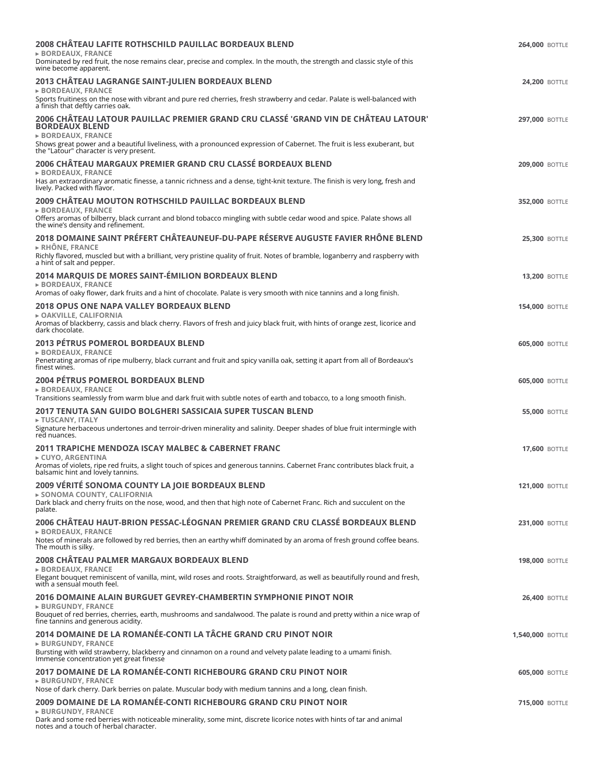| <b>2008 CHATEAU LAFITE ROTHSCHILD PAUILLAC BORDEAUX BLEND</b><br>$\triangleright$ BORDEAUX, FRANCE<br>Dominated by red fruit, the nose remains clear, precise and complex. In the mouth, the strength and classic style of this<br>wine become apparent.                                                       | <b>264,000 BOTTLE</b> |
|----------------------------------------------------------------------------------------------------------------------------------------------------------------------------------------------------------------------------------------------------------------------------------------------------------------|-----------------------|
| 2013 CHÂTEAU LAGRANGE SAINT-JULIEN BORDEAUX BLEND<br><b>BORDEAUX, FRANCE</b><br>Sports fruitiness on the nose with vibrant and pure red cherries, fresh strawberry and cedar. Palate is well-balanced with<br>a finish that deftly carries oak.                                                                | <b>24,200 BOTTLE</b>  |
| 2006 CHÂTEAU LATOUR PAUILLAC PREMIER GRAND CRU CLASSÉ 'GRAND VIN DE CHÂTEAU LATOUR'<br><b>BORDEAUX BLEND</b><br><b>BORDEAUX, FRANCE</b><br>Shows great power and a beautiful liveliness, with a pronounced expression of Cabernet. The fruit is less exuberant, but<br>the "Latour" character is very present. | <b>297,000 BOTTLE</b> |
| 2006 CHÂTEAU MARGAUX PREMIER GRAND CRU CLASSÉ BORDEAUX BLEND<br>$\triangleright$ BORDEAUX. FRANCE<br>Has an extraordinary aromatic finesse, a tannic richness and a dense, tight-knit texture. The finish is very long, fresh and<br>lively. Packed with flavor.                                               | <b>209,000 BOTTLE</b> |
| 2009 CHÂTEAU MOUTON ROTHSCHILD PAUILLAC BORDEAUX BLEND<br><b>BORDEAUX, FRANCE</b><br>Offers aromas of bilberry, black currant and blond tobacco mingling with subtle cedar wood and spice. Palate shows all<br>the wine's density and refinement.                                                              | <b>352,000 BOTTLE</b> |
| 2018 DOMAINE SAINT PRÉFERT CHÂTEAUNEUF-DU-PAPE RÉSERVE AUGUSTE FAVIER RHÔNE BLEND<br>$\triangleright$ RHÔNE. FRANCE<br>Richly flavored, muscled but with a brilliant, very pristine quality of fruit. Notes of bramble, loganberry and raspberry with<br>a hint of salt and pepper.                            | <b>25,300 BOTTLE</b>  |
| 2014 MARQUIS DE MORES SAINT-ÉMILION BORDEAUX BLEND<br><b>BORDEAUX, FRANCE</b><br>Aromas of oaky flower, dark fruits and a hint of chocolate. Palate is very smooth with nice tannins and a long finish.                                                                                                        | <b>13,200 BOTTLE</b>  |
| 2018 OPUS ONE NAPA VALLEY BORDEAUX BLEND<br>► OAKVILLE, CALIFORNIA<br>Aromas of blackberry, cassis and black cherry. Flavors of fresh and juicy black fruit, with hints of orange zest, licorice and<br>dark chocolate.                                                                                        | <b>154,000 BOTTLE</b> |
| <b>2013 PÉTRUS POMEROL BORDEAUX BLEND</b><br><b>BORDEAUX, FRANCE</b><br>Penetrating aromas of ripe mulberry, black currant and fruit and spicy vanilla oak, setting it apart from all of Bordeaux's<br>finest wines.                                                                                           | <b>605,000 BOTTLE</b> |
| 2004 PÉTRUS POMEROL BORDEAUX BLEND<br><b>BORDEAUX, FRANCE</b><br>Transitions seamlessly from warm blue and dark fruit with subtle notes of earth and tobacco, to a long smooth finish.                                                                                                                         | <b>605,000 BOTTLE</b> |
| 2017 TENUTA SAN GUIDO BOLGHERI SASSICAIA SUPER TUSCAN BLEND<br>FUSCANY, ITALY<br>Signature herbaceous undertones and terroir-driven minerality and salinity. Deeper shades of blue fruit intermingle with<br>red nuances.                                                                                      | <b>55,000 BOTTLE</b>  |
| 2011 TRAPICHE MENDOZA ISCAY MALBEC & CABERNET FRANC<br>$\triangleright$ CUYO. ARGENTINA<br>Aromas of violets, ripe red fruits, a slight touch of spices and generous tannins. Cabernet Franc contributes black fruit, a<br>balsamic hint and lovely tannins.                                                   | <b>17,600 BOTTLE</b>  |
| 2009 VÉRITÉ SONOMA COUNTY LA JOIE BORDEAUX BLEND<br>► SONOMA COUNTY, CALIFORNIA<br>Dark black and cherry fruits on the nose, wood, and then that high note of Cabernet Franc. Rich and succulent on the<br>palate.                                                                                             | <b>121,000 BOTTLE</b> |
| 2006 CHÂTEAU HAUT-BRION PESSAC-LÉOGNAN PREMIER GRAND CRU CLASSÉ BORDEAUX BLEND<br><b>BORDEAUX, FRANCE</b><br>Notes of minerals are followed by red berries, then an earthy whiff dominated by an aroma of fresh ground coffee beans.<br>The mouth is silky.                                                    | <b>231,000 BOTTLE</b> |
| 2008 CHÂTEAU PALMER MARGAUX BORDEAUX BLEND<br>$\triangleright$ BORDEAUX, FRANCE<br>Elegant bouquet reminiscent of vanilla, mint, wild roses and roots. Straightforward, as well as beautifully round and fresh,<br>with a sensual mouth feel.                                                                  | <b>198,000 BOTTLE</b> |
| 2016 DOMAINE ALAIN BURGUET GEVREY-CHAMBERTIN SYMPHONIE PINOT NOIR<br><b>BURGUNDY, FRANCE</b><br>Bouquet of red berries, cherries, earth, mushrooms and sandalwood. The palate is round and pretty within a nice wrap of<br>fine tannins and generous acidity.                                                  | <b>26,400 BOTTLE</b>  |
| 2014 DOMAINE DE LA ROMANÉE-CONTI LA TÂCHE GRAND CRU PINOT NOIR<br><b>&gt; BURGUNDY, FRANCE</b><br>Bursting with wild strawberry, blackberry and cinnamon on a round and velvety palate leading to a umami finish.<br>Immense concentration yet great finesse                                                   | 1,540,000 BOTTLE      |
| 2017 DOMAINE DE LA ROMANÉE-CONTI RICHEBOURG GRAND CRU PINOT NOIR<br><b>BURGUNDY, FRANCE</b><br>Nose of dark cherry. Dark berries on palate. Muscular body with medium tannins and a long, clean finish.                                                                                                        | <b>605,000 BOTTLE</b> |
| 2009 DOMAINE DE LA ROMANÉE-CONTI RICHEBOURG GRAND CRU PINOT NOIR<br><b>&gt; BURGUNDY, FRANCE</b><br>Dark and some red berries with noticeable minerality, some mint, discrete licorice notes with hints of tar and animal<br>notes and a touch of herbal character.                                            | <b>715,000 BOTTLE</b> |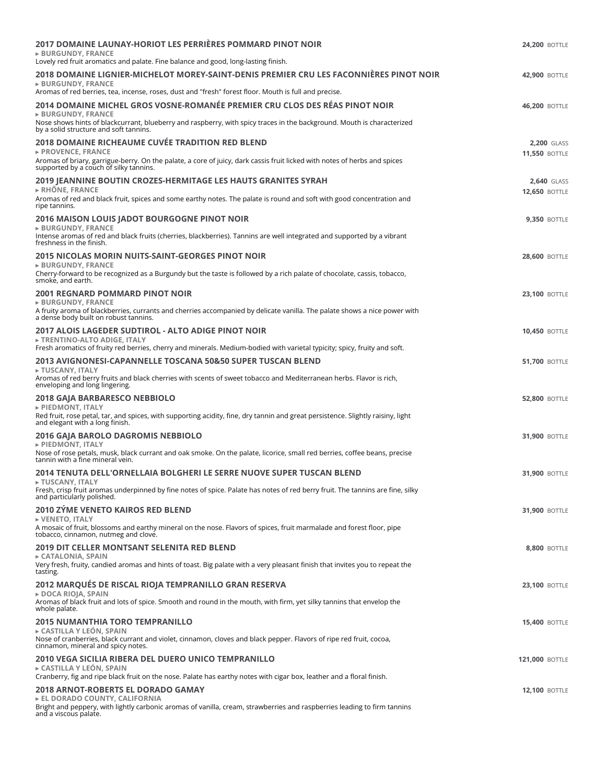| 2017 DOMAINE LAUNAY-HORIOT LES PERRIÈRES POMMARD PINOT NOIR<br>► BURGUNDY, FRANCE<br>Lovely red fruit aromatics and palate. Fine balance and good, long-lasting finish.                                                                                               | <b>24,200 BOTTLE</b>                       |
|-----------------------------------------------------------------------------------------------------------------------------------------------------------------------------------------------------------------------------------------------------------------------|--------------------------------------------|
| 2018 DOMAINE LIGNIER-MICHELOT MOREY-SAINT-DENIS PREMIER CRU LES FACONNIÈRES PINOT NOIR<br><b>&gt; BURGUNDY, FRANCE</b><br>Aromas of red berries, tea, incense, roses, dust and "fresh" forest floor. Mouth is full and precise.                                       | <b>42,900 BOTTLE</b>                       |
| 2014 DOMAINE MICHEL GROS VOSNE-ROMANÉE PREMIER CRU CLOS DES RÉAS PINOT NOIR<br>► BURGUNDY, FRANCE<br>Nose shows hints of blackcurrant, blueberry and raspberry, with spicy traces in the background. Mouth is characterized<br>by a solid structure and soft tannins. | <b>46.200 BOTTLE</b>                       |
| 2018 DOMAINE RICHEAUME CUVÉE TRADITION RED BLEND<br>► PROVENCE, FRANCE<br>Aromas of briary, garrigue-berry. On the palate, a core of juicy, dark cassis fruit licked with notes of herbs and spices                                                                   | <b>2,200 GLASS</b><br><b>11,550 BOTTLE</b> |
| supported by a couch of silky tannins.                                                                                                                                                                                                                                |                                            |
| 2019 JEANNINE BOUTIN CROZES-HERMITAGE LES HAUTS GRANITES SYRAH<br>$\triangleright$ RHÖNE, FRANCE<br>Aromas of red and black fruit, spices and some earthy notes. The palate is round and soft with good concentration and<br>ripe tannins.                            | <b>2.640 GLASS</b><br><b>12,650 BOTTLE</b> |
| <b>2016 MAISON LOUIS JADOT BOURGOGNE PINOT NOIR</b><br><b>&gt; BURGUNDY, FRANCE</b><br>Intense aromas of red and black fruits (cherries, blackberries). Tannins are well integrated and supported by a vibrant<br>freshness in the finish.                            | <b>9,350 BOTTLE</b>                        |
| 2015 NICOLAS MORIN NUITS-SAINT-GEORGES PINOT NOIR<br>► BURGUNDY, FRANCE                                                                                                                                                                                               | <b>28,600 BOTTLE</b>                       |
| Cherry-forward to be recognized as a Burgundy but the taste is followed by a rich palate of chocolate, cassis, tobacco,<br>smoke, and earth.                                                                                                                          |                                            |
| 2001 REGNARD POMMARD PINOT NOIR<br><b>&gt; BURGUNDY, FRANCE</b><br>A fruity aroma of blackberries, currants and cherries accompanied by delicate vanilla. The palate shows a nice power with<br>a dense body built on robust tannins.                                 | <b>23,100 BOTTLE</b>                       |
| 2017 ALOIS LAGEDER SUDTIROL - ALTO ADIGE PINOT NOIR<br>► TRENTINO-ALTO ADIGE, ITALY<br>Fresh aromatics of fruity red berries, cherry and minerals. Medium-bodied with varietal typicity; spicy, fruity and soft.                                                      | <b>10,450 BOTTLE</b>                       |
| 2013 AVIGNONESI-CAPANNELLE TOSCANA 50&50 SUPER TUSCAN BLEND<br>► TUSCANY, ITALY<br>Aromas of red berry fruits and black cherries with scents of sweet tobacco and Mediterranean herbs. Flavor is rich,<br>enveloping and long lingering.                              | <b>51,700 BOTTLE</b>                       |
| 2018 GAJA BARBARESCO NEBBIOLO<br>► PIEDMONT, ITALY                                                                                                                                                                                                                    | <b>52,800 BOTTLE</b>                       |
| Red fruit, rose petal, tar, and spices, with supporting acidity, fine, dry tannin and great persistence. Slightly raisiny, light<br>and elegant with a long finish.                                                                                                   |                                            |
| 2016 GAJA BAROLO DAGROMIS NEBBIOLO<br>PIEDMONT, ITALY<br>Nose of rose petals, musk, black currant and oak smoke. On the palate, licorice, small red berries, coffee beans, precise                                                                                    | <b>31,900 BOTTLE</b>                       |
| tannin with a fine mineral vein.                                                                                                                                                                                                                                      |                                            |
| 2014 TENUTA DELL'ORNELLAIA BOLGHERI LE SERRE NUOVE SUPER TUSCAN BLEND<br>► TUSCANY, ITALY<br>Fresh, crisp fruit aromas underpinned by fine notes of spice. Palate has notes of red berry fruit. The tannins are fine, silky<br>and particularly polished.             | <b>31.900 BOTTLE</b>                       |
| 2010 ZÝME VENETO KAIROS RED BLEND                                                                                                                                                                                                                                     | <b>31,900 BOTTLE</b>                       |
| ► VENETO, ITALY<br>A mosaic of fruit, blossoms and earthy mineral on the nose. Flavors of spices, fruit marmalade and forest floor, pipe<br>tobacco, cinnamon, nutmeg and clove.                                                                                      |                                            |
| 2019 DIT CELLER MONTSANT SELENITA RED BLEND<br>► CATALONIA, SPAIN<br>Very fresh, fruity, candied aromas and hints of toast. Big palate with a very pleasant finish that invites you to repeat the<br>tasting.                                                         | <b>8.800 BOTTLE</b>                        |
| 2012 MARQUÉS DE RISCAL RIOJA TEMPRANILLO GRAN RESERVA<br>► DOCA RIOJA, SPAIN<br>Aromas of black fruit and lots of spice. Smooth and round in the mouth, with firm, yet silky tannins that envelop the                                                                 | <b>23,100 BOTTLE</b>                       |
| whole palate.<br>2015 NUMANTHIA TORO TEMPRANILLO                                                                                                                                                                                                                      | <b>15,400 BOTTLE</b>                       |
| ► CASTILLA Y LEÓN, SPAIN<br>Nose of cranberries, black currant and violet, cinnamon, cloves and black pepper. Flavors of ripe red fruit, cocoa,<br>cinnamon, mineral and spicy notes.                                                                                 |                                            |
| 2010 VEGA SICILIA RIBERA DEL DUERO UNICO TEMPRANILLO<br>► CASTILLA Y LEÓN, SPAIN<br>Cranberry, fig and ripe black fruit on the nose. Palate has earthy notes with cigar box, leather and a floral finish.                                                             | <b>121,000 BOTTLE</b>                      |
| 2018 ARNOT-ROBERTS EL DORADO GAMAY<br>EL DORADO COUNTY, CALIFORNIA<br>Bright and peppery, with lightly carbonic aromas of vanilla, cream, strawberries and raspberries leading to firm tannins<br>and a viscous palate.                                               | <b>12,100 BOTTLE</b>                       |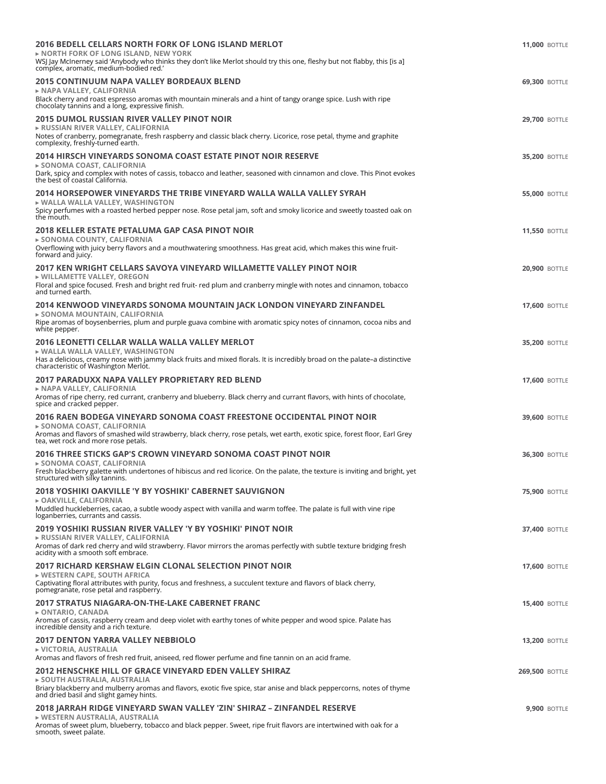| 2016 BEDELL CELLARS NORTH FORK OF LONG ISLAND MERLOT<br><b>NORTH FORK OF LONG ISLAND, NEW YORK</b><br>WSJ Jay McInerney said 'Anybody who thinks they don't like Merlot should try this one, fleshy but not flabby, this [is a]<br>complex, aromatic, medium-bodied red.'                            | <b>11,000 BOTTLE</b>  |
|------------------------------------------------------------------------------------------------------------------------------------------------------------------------------------------------------------------------------------------------------------------------------------------------------|-----------------------|
| 2015 CONTINUUM NAPA VALLEY BORDEAUX BLEND<br>► NAPA VALLEY, CALIFORNIA<br>Black cherry and roast espresso aromas with mountain minerals and a hint of tangy orange spice. Lush with ripe<br>chocolaty tannins and a long, expressive finish.                                                         | <b>69,300 BOTTLE</b>  |
| <b>2015 DUMOL RUSSIAN RIVER VALLEY PINOT NOIR</b><br>► RUSSIAN RIVER VALLEY, CALIFORNIA<br>Notes of cranberry, pomegranate, fresh raspberry and classic black cherry. Licorice, rose petal, thyme and graphite<br>complexity, freshly-turned earth.                                                  | <b>29,700 BOTTLE</b>  |
| 2014 HIRSCH VINEYARDS SONOMA COAST ESTATE PINOT NOIR RESERVE<br>► SONOMA COAST, CALIFORNIA<br>Dark, spicy and complex with notes of cassis, tobacco and leather, seasoned with cinnamon and clove. This Pinot evokes<br>the best of coastal California.                                              | <b>35,200 BOTTLE</b>  |
| 2014 HORSEPOWER VINEYARDS THE TRIBE VINEYARD WALLA WALLA VALLEY SYRAH<br>► WALLA WALLA VALLEY, WASHINGTON<br>Spicy perfumes with a roasted herbed pepper nose. Rose petal jam, soft and smoky licorice and sweetly toasted oak on<br>the mouth.                                                      | <b>55,000 BOTTLE</b>  |
| 2018 KELLER ESTATE PETALUMA GAP CASA PINOT NOIR<br>► SONOMA COUNTY, CALIFORNIA<br>Overflowing with juicy berry flavors and a mouthwatering smoothness. Has great acid, which makes this wine fruit-<br>forward and juicy.                                                                            | <b>11,550 BOTTLE</b>  |
| 2017 KEN WRIGHT CELLARS SAVOYA VINEYARD WILLAMETTE VALLEY PINOT NOIR<br>▶ WILLAMETTE VALLEY, OREGON<br>Floral and spice focused. Fresh and bright red fruit- red plum and cranberry mingle with notes and cinnamon, tobacco<br>and turned earth.                                                     | <b>20,900 BOTTLE</b>  |
| <u>2014 KENWOOD VINEYARDS SONOMA MOUNTAIN JACK LONDON VINEYARD ZINFANDEL</u><br>► SONOMA MOUNTAIN, CALIFORNIA<br>Ripe aromas of boysenberries, plum and purple guava combine with aromatic spicy notes of cinnamon, cocoa nibs and<br>white pepper.                                                  | <b>17,600 BOTTLE</b>  |
| 2016 LEONETTI CELLAR WALLA WALLA VALLEY MERLOT<br>▶ WALLA WALLA VALLEY, WASHINGTON<br>Has a delicious, creamy nose with jammy black fruits and mixed florals. It is incredibly broad on the palate-a distinctive<br>characteristic of Washington Merlot.                                             | <b>35,200 BOTTLE</b>  |
| 2017 PARADUXX NAPA VALLEY PROPRIETARY RED BLEND<br>► NAPA VALLEY, CALIFORNIA<br>Aromas of ripe cherry, red currant, cranberry and blueberry. Black cherry and currant flavors, with hints of chocolate,<br>spice and cracked pepper.                                                                 | <b>17,600 BOTTLE</b>  |
| 2016 RAEN BODEGA VINEYARD SONOMA COAST FREESTONE OCCIDENTAL PINOT NOIR<br>► SONOMA COAST, CALIFORNIA<br>Aromas and flavors of smashed wild strawberry, black cherry, rose petals, wet earth, exotic spice, forest floor, Earl Grey<br>tea, wet rock and more rose petals.                            | <b>39,600 BOTTLE</b>  |
| 2016 THREE STICKS GAP'S CROWN VINEYARD SONOMA COAST PINOT NOIR<br>► SONOMA COAST, CALIFORNIA<br>Fresh blackberry galette with undertones of hibiscus and red licorice. On the palate, the texture is inviting and bright, yet<br>structured with silky tannins.                                      | <b>36,300 BOTTLE</b>  |
| 2018 YOSHIKI OAKVILLE 'Y BY YOSHIKI' CABERNET SAUVIGNON<br>► OAKVILLE, CALIFORNIA<br>Muddled huckleberries, cacao, a subtle woody aspect with vanilla and warm toffee. The palate is full with vine ripe<br>loganberries, currants and cassis.                                                       | <b>75,900 BOTTLE</b>  |
| 2019 YOSHIKI RUSSIAN RIVER VALLEY 'Y BY YOSHIKI' PINOT NOIR<br>► RUSSIAN RIVER VALLEY, CALIFORNIA<br>Aromas of dark red cherry and wild strawberry. Flavor mirrors the aromas perfectly with subtle texture bridging fresh<br>acidity with a smooth soft embrace.                                    | <b>37,400 BOTTLE</b>  |
| 2017 RICHARD KERSHAW ELGIN CLONAL SELECTION PINOT NOIR<br>► WESTERN CAPE, SOUTH AFRICA<br>Captivating floral attributes with purity, focus and freshness, a succulent texture and flavors of black cherry,<br>pomegranate, rose petal and raspberry.                                                 | <b>17,600 BOTTLE</b>  |
| <b>2017 STRATUS NIAGARA-ON-THE-LAKE CABERNET FRANC</b><br>► ONTARIO, CANADA<br>Aromas of cassis, raspberry cream and deep violet with earthy tones of white pepper and wood spice. Palate has<br>incredible density and a rich texture.                                                              | <b>15,400 BOTTLE</b>  |
| <b>2017 DENTON YARRA VALLEY NEBBIOLO</b><br>► VICTORIA, AUSTRALIA<br>Aromas and flavors of fresh red fruit, aniseed, red flower perfume and fine tannin on an acid frame.                                                                                                                            | <b>13,200 BOTTLE</b>  |
| 2012 HENSCHKE HILL OF GRACE VINEYARD EDEN VALLEY SHIRAZ<br>► SOUTH AUSTRALIA, AUSTRALIA<br>Briary blackberry and mulberry aromas and flavors, exotic five spice, star anise and black peppercorns, notes of thyme                                                                                    | <b>269,500 BOTTLE</b> |
| and dried basil and slight gamey hints.<br>2018 JARRAH RIDGE VINEYARD SWAN VALLEY 'ZIN' SHIRAZ - ZINFANDEL RESERVE<br>▶ WESTERN AUSTRALIA, AUSTRALIA<br>Aromas of sweet plum, blueberry, tobacco and black pepper. Sweet, ripe fruit flavors are intertwined with oak for a<br>smooth, sweet palate. | <b>9,900 BOTTLE</b>   |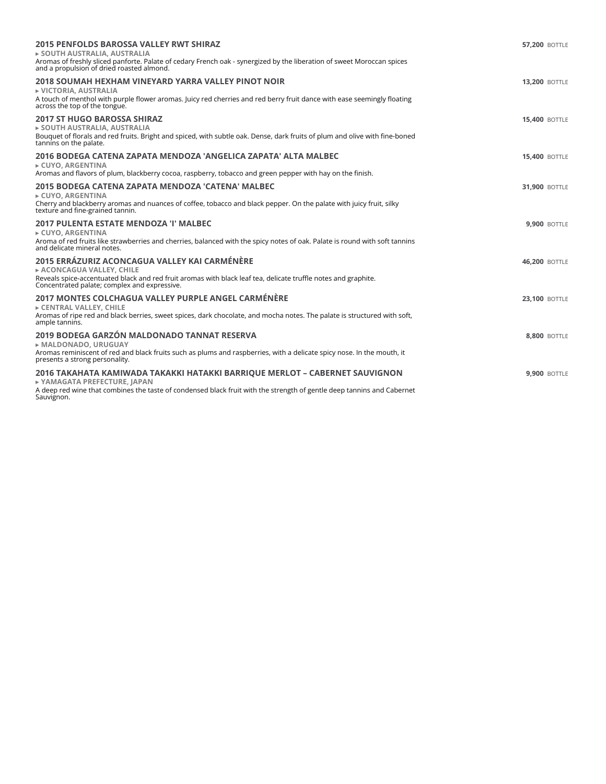| <b>2015 PENFOLDS BAROSSA VALLEY RWT SHIRAZ</b><br>► SOUTH AUSTRALIA, AUSTRALIA<br>Aromas of freshly sliced panforte. Palate of cedary French oak - synergized by the liberation of sweet Moroccan spices<br>and a propulsion of dried roasted almond. | <b>57,200 BOTTLE</b> |
|-------------------------------------------------------------------------------------------------------------------------------------------------------------------------------------------------------------------------------------------------------|----------------------|
| 2018 SOUMAH HEXHAM VINEYARD YARRA VALLEY PINOT NOIR<br>▶ VICTORIA, AUSTRALIA<br>A touch of menthol with purple flower aromas. Juicy red cherries and red berry fruit dance with ease seemingly floating<br>across the top of the tongue.              | <b>13,200 BOTTLE</b> |
| <b>2017 ST HUGO BAROSSA SHIRAZ</b><br>> SOUTH AUSTRALIA, AUSTRALIA<br>Bouquet of florals and red fruits. Bright and spiced, with subtle oak. Dense, dark fruits of plum and olive with fine-boned<br>tannins on the palate.                           | <b>15,400 BOTTLE</b> |
| 2016 BODEGA CATENA ZAPATA MENDOZA 'ANGELICA ZAPATA' ALTA MALBEC<br>► CUYO, ARGENTINA<br>Aromas and flavors of plum, blackberry cocoa, raspberry, tobacco and green pepper with hay on the finish.                                                     | <b>15,400 BOTTLE</b> |
| 2015 BODEGA CATENA ZAPATA MENDOZA 'CATENA' MALBEC<br>► CUYO, ARGENTINA<br>Cherry and blackberry aromas and nuances of coffee, tobacco and black pepper. On the palate with juicy fruit, silky<br>texture and fine-grained tannin.                     | <b>31,900 BOTTLE</b> |
| <b>2017 PULENTA ESTATE MENDOZA 'I' MALBEC</b><br>$\triangleright$ CUYO, ARGENTINA<br>Aroma of red fruits like strawberries and cherries, balanced with the spicy notes of oak. Palate is round with soft tannins<br>and delicate mineral notes.       | <b>9.900 BOTTLE</b>  |
| 2015 ERRÁZURIZ ACONCAGUA VALLEY KAJ CARMÉNÈRE<br>ACONCAGUA VALLEY, CHILE<br>Reveals spice-accentuated black and red fruit aromas with black leaf tea, delicate truffle notes and graphite.<br>Concentrated palate; complex and expressive.            | <b>46.200 BOTTLE</b> |
| 2017 MONTES COLCHAGUA VALLEY PURPLE ANGEL CARMÉNÈRE<br>EXPORTED VALLEY, CHILE<br>Aromas of ripe red and black berries, sweet spices, dark chocolate, and mocha notes. The palate is structured with soft,<br>ample tannins.                           | <b>23.100 BOTTLE</b> |
| 2019 BODEGA GARZÓN MALDONADO TANNAT RESERVA<br>► MALDONADO, URUGUAY<br>Aromas reminiscent of red and black fruits such as plums and raspberries, with a delicate spicy nose. In the mouth, it<br>presents a strong personality.                       | <b>8.800 BOTTLE</b>  |
| 2016 TAKAHATA KAMIWADA TAKAKKI HATAKKI BARRIQUE MERLOT - CABERNET SAUVIGNON<br>► YAMAGATA PREFECTURE. IAPAN<br>A deep red wine that combines the taste of condensed black fruit with the strength of gentle deep tannins and Cabernet<br>Sauvignon.   | <b>9,900 BOTTLE</b>  |